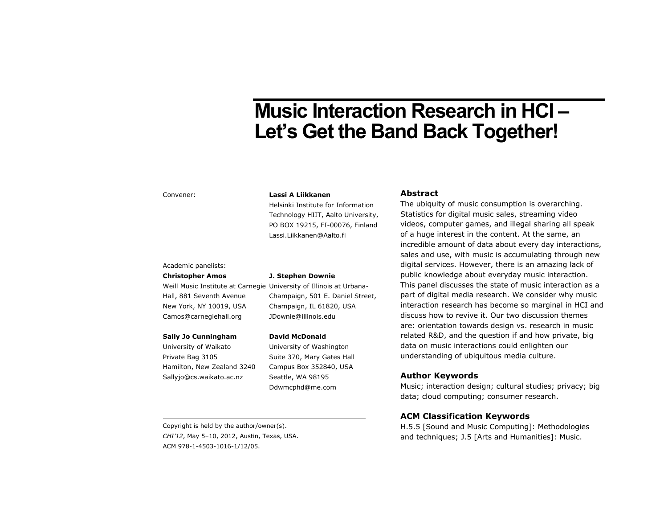# **Music Interaction Research in HCI – Let's Get the Band Back Together!**

#### Convener:

#### **Lassi A Liikkanen**

Helsinki Institute for Information Technology HIIT, Aalto University, PO BOX 19215, FI-00076, Finland Lassi.Liikkanen@Aalto.fi

#### Academic panelists:

#### **Christopher Amos**

Weill Music Institute at Carnegie University of Illinois at Urbana-Hall, 881 Seventh Avenue New York, NY 10019, USA Camos@carnegiehall.org

#### **Sally Jo Cunningham**

University of Waikato Private Bag 3105 Hamilton, New Zealand 3240 Sallyjo@cs.waikato.ac.nz

Champaign, 501 E. Daniel Street, Champaign, IL 61820, USA

**J. Stephen Downie** 

#### **David McDonald**

JDownie@illinois.edu

University of Washington Suite 370, Mary Gates Hall Campus Box 352840, USA Seattle, WA 98195 Ddwmcphd@me.com

Copyright is held by the author/owner(s). *CHI'12*, May 5–10, 2012, Austin, Texas, USA. ACM 978-1-4503-1016-1/12/05.

## **Abstract**

The ubiquity of music consumption is overarching. Statistics for digital music sales, streaming video videos, computer games, and illegal sharing all speak of a huge interest in the content. At the same, an incredible amount of data about every day interactions, sales and use, with music is accumulating through new digital services. However, there is an amazing lack of public knowledge about everyday music interaction. This panel discusses the state of music interaction as a part of digital media research. We consider why music interaction research has become so marginal in HCI and discuss how to revive it. Our two discussion themes are: orientation towards design vs. research in music related R&D, and the question if and how private, big data on music interactions could enlighten our understanding of ubiquitous media culture.

## **Author Keywords**

Music; interaction design; cultural studies; privacy; big data; cloud computing; consumer research.

## **ACM Classification Keywords**

H.5.5 [Sound and Music Computing]: Methodologies and techniques; J.5 [Arts and Humanities]: Music.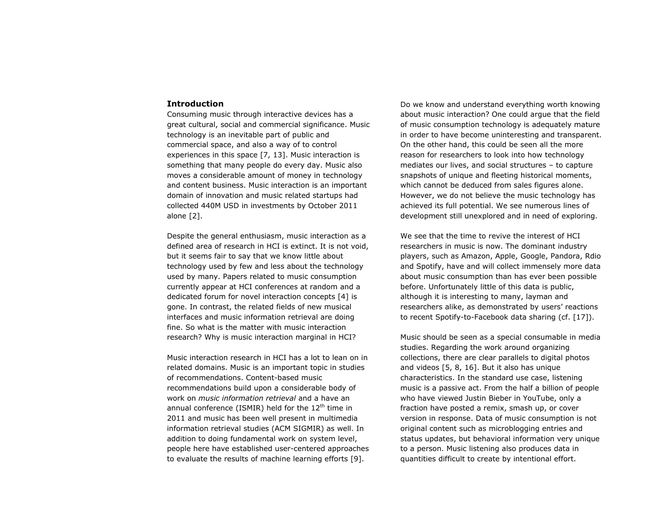#### **Introduction**

Consuming music through interactive devices has a great cultural, social and commercial significance. Music technology is an inevitable part of public and commercial space, and also a way of to control experiences in this space [7, 13]. Music interaction is something that many people do every day. Music also moves a considerable amount of money in technology and content business. Music interaction is an important domain of innovation and music related startups had collected 440M USD in investments by October 2011 alone [2].

Despite the general enthusiasm, music interaction as a defined area of research in HCI is extinct. It is not void, but it seems fair to say that we know little about technology used by few and less about the technology used by many. Papers related to music consumption currently appear at HCI conferences at random and a dedicated forum for novel interaction concepts [4] is gone. In contrast, the related fields of new musical interfaces and music information retrieval are doing fine. So what is the matter with music interaction research? Why is music interaction marginal in HCI?

Music interaction research in HCI has a lot to lean on in related domains. Music is an important topic in studies of recommendations. Content-based music recommendations build upon a considerable body of work on *music information retrieval* and a have an annual conference (ISMIR) held for the  $12<sup>th</sup>$  time in 2011 and music has been well present in multimedia information retrieval studies (ACM SIGMIR) as well. In addition to doing fundamental work on system level, people here have established user-centered approaches to evaluate the results of machine learning efforts [9].

Do we know and understand everything worth knowing about music interaction? One could argue that the field of music consumption technology is adequately mature in order to have become uninteresting and transparent. On the other hand, this could be seen all the more reason for researchers to look into how technology mediates our lives, and social structures – to capture snapshots of unique and fleeting historical moments, which cannot be deduced from sales figures alone. However, we do not believe the music technology has achieved its full potential. We see numerous lines of development still unexplored and in need of exploring.

We see that the time to revive the interest of HCI researchers in music is now. The dominant industry players, such as Amazon, Apple, Google, Pandora, Rdio and Spotify, have and will collect immensely more data about music consumption than has ever been possible before. Unfortunately little of this data is public, although it is interesting to many, layman and researchers alike, as demonstrated by users' reactions to recent Spotify-to-Facebook data sharing (cf. [17]).

Music should be seen as a special consumable in media studies. Regarding the work around organizing collections, there are clear parallels to digital photos and videos [5, 8, 16]. But it also has unique characteristics. In the standard use case, listening music is a passive act. From the half a billion of people who have viewed Justin Bieber in YouTube, only a fraction have posted a remix, smash up, or cover version in response. Data of music consumption is not original content such as microblogging entries and status updates, but behavioral information very unique to a person. Music listening also produces data in quantities difficult to create by intentional effort.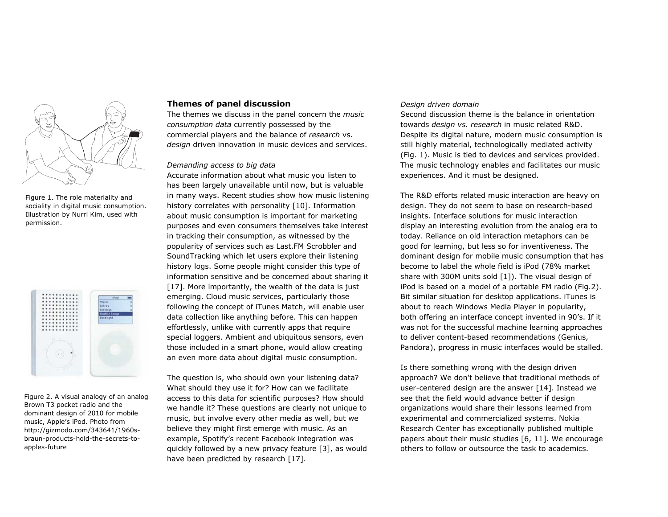

Figure 1. The role materiality and sociality in digital music consumption. Illustration by Nurri Kim, used with permission.

|    | Lutrus<br>Settings<br><b>Shuffle Sengs</b> |
|----|--------------------------------------------|
|    | <b>Backlight</b>                           |
|    |                                            |
| p. |                                            |
| ۷  |                                            |
| 9  |                                            |
|    |                                            |

Figure 2. A visual analogy of an analog Brown T3 pocket radio and the dominant design of 2010 for mobile music, Apple's iPod. Photo from http://gizmodo.com/343641/1960sbraun-products-hold-the-secrets-toapples-future

#### **Themes of panel discussion**

The themes we discuss in the panel concern the *music consumption data* currently possessed by the commercial players and the balance of *research* vs*. design* driven innovation in music devices and services.

#### *Demanding access to big data*

Accurate information about what music you listen to has been largely unavailable until now, but is valuable in many ways. Recent studies show how music listening history correlates with personality [10]. Information about music consumption is important for marketing purposes and even consumers themselves take interest in tracking their consumption, as witnessed by the popularity of services such as Last.FM Scrobbler and SoundTracking which let users explore their listening history logs. Some people might consider this type of information sensitive and be concerned about sharing it [17]. More importantly, the wealth of the data is just emerging. Cloud music services, particularly those following the concept of iTunes Match, will enable user data collection like anything before. This can happen effortlessly, unlike with currently apps that require special loggers. Ambient and ubiquitous sensors, even those included in a smart phone, would allow creating an even more data about digital music consumption.

The question is, who should own your listening data? What should they use it for? How can we facilitate access to this data for scientific purposes? How should we handle it? These questions are clearly not unique to music, but involve every other media as well, but we believe they might first emerge with music. As an example, Spotify's recent Facebook integration was quickly followed by a new privacy feature [3], as would have been predicted by research [17].

## *Design driven domain*

Second discussion theme is the balance in orientation towards *design vs. research* in music related R&D. Despite its digital nature, modern music consumption is still highly material, technologically mediated activity (Fig. 1). Music is tied to devices and services provided. The music technology enables and facilitates our music experiences. And it must be designed.

The R&D efforts related music interaction are heavy on design. They do not seem to base on research-based insights. Interface solutions for music interaction display an interesting evolution from the analog era to today. Reliance on old interaction metaphors can be good for learning, but less so for inventiveness. The dominant design for mobile music consumption that has become to label the whole field is iPod (78% market share with 300M units sold [1]). The visual design of iPod is based on a model of a portable FM radio (Fig.2). Bit similar situation for desktop applications. iTunes is about to reach Windows Media Player in popularity, both offering an interface concept invented in 90's. If it was not for the successful machine learning approaches to deliver content-based recommendations (Genius, Pandora), progress in music interfaces would be stalled.

Is there something wrong with the design driven approach? We don't believe that traditional methods of user-centered design are the answer [14]. Instead we see that the field would advance better if design organizations would share their lessons learned from experimental and commercialized systems. Nokia Research Center has exceptionally published multiple papers about their music studies [6, 11]. We encourage others to follow or outsource the task to academics.